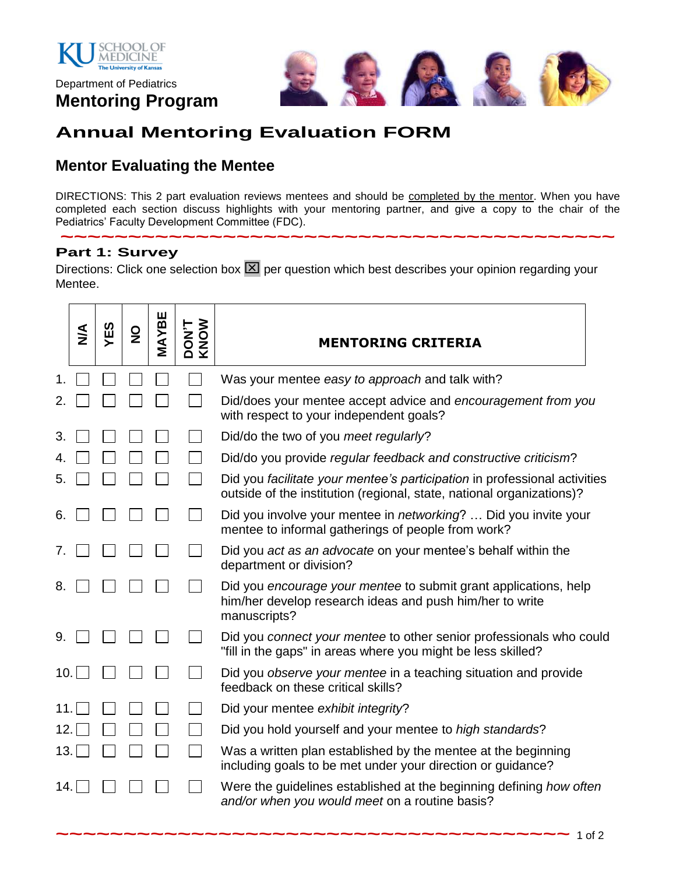

Department of Pediatrics **Mentoring Program**



# **Annual Mentoring Evaluation FORM**

## **Mentor Evaluating the Mentee**

DIRECTIONS: This 2 part evaluation reviews mentees and should be completed by the mentor. When you have completed each section discuss highlights with your mentoring partner, and give a copy to the chair of the Pediatrics' Faculty Development Committee (FDC).

**~~~~~~~~~~~~~~~~~~~~~~~~~~~~~~~~~~~~~~~~~**

#### **Part 1: Survey**

Directions: Click one selection box  $\boxed{\times}$  per question which best describes your opinion regarding your Mentee.

|     | $\sum_{i=1}^{n}$ | YES | $\frac{0}{2}$ | MAYBE | DON'T<br>KNOW | <b>MENTORING CRITERIA</b>                                                                                                                          |  |  |  |
|-----|------------------|-----|---------------|-------|---------------|----------------------------------------------------------------------------------------------------------------------------------------------------|--|--|--|
|     |                  |     |               |       |               | Was your mentee easy to approach and talk with?                                                                                                    |  |  |  |
| 2.  |                  |     |               |       |               | Did/does your mentee accept advice and encouragement from you<br>with respect to your independent goals?                                           |  |  |  |
| 3.  |                  |     |               |       |               | Did/do the two of you meet regularly?                                                                                                              |  |  |  |
|     |                  |     |               |       |               | Did/do you provide regular feedback and constructive criticism?                                                                                    |  |  |  |
| 5.  |                  |     |               |       |               | Did you facilitate your mentee's participation in professional activities<br>outside of the institution (regional, state, national organizations)? |  |  |  |
| 6.  |                  |     |               |       |               | Did you involve your mentee in <i>networking</i> ?  Did you invite your<br>mentee to informal gatherings of people from work?                      |  |  |  |
| 7.  |                  |     |               |       |               | Did you act as an advocate on your mentee's behalf within the<br>department or division?                                                           |  |  |  |
| 8.  |                  |     |               |       |               | Did you encourage your mentee to submit grant applications, help<br>him/her develop research ideas and push him/her to write<br>manuscripts?       |  |  |  |
| 9.  |                  |     |               |       |               | Did you connect your mentee to other senior professionals who could<br>"fill in the gaps" in areas where you might be less skilled?                |  |  |  |
| 10. |                  |     |               |       |               | Did you observe your mentee in a teaching situation and provide<br>feedback on these critical skills?                                              |  |  |  |
| 11. |                  |     |               |       |               | Did your mentee exhibit integrity?                                                                                                                 |  |  |  |
| 12. |                  |     |               |       |               | Did you hold yourself and your mentee to high standards?                                                                                           |  |  |  |
| 13. |                  |     |               |       |               | Was a written plan established by the mentee at the beginning<br>including goals to be met under your direction or guidance?                       |  |  |  |
| 14. |                  |     |               |       |               | Were the guidelines established at the beginning defining how often<br>and/or when you would meet on a routine basis?                              |  |  |  |